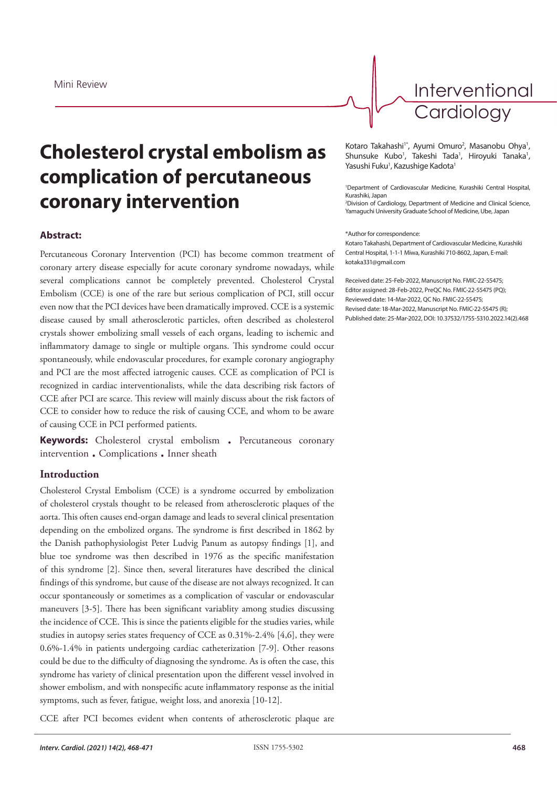

Interventional **Cardiology** 

# **Cholesterol crystal embolism as complication of percutaneous coronary intervention**

## **Abstract:**

Percutaneous Coronary Intervention (PCI) has become common treatment of coronary artery disease especially for acute coronary syndrome nowadays, while several complications cannot be completely prevented. Cholesterol Crystal Embolism (CCE) is one of the rare but serious complication of PCI, still occur even now that the PCI devices have been dramatically improved. CCE is a systemic disease caused by small atherosclerotic particles, often described as cholesterol crystals shower embolizing small vessels of each organs, leading to ischemic and inflammatory damage to single or multiple organs. This syndrome could occur spontaneously, while endovascular procedures, for example coronary angiography and PCI are the most affected iatrogenic causes. CCE as complication of PCI is recognized in cardiac interventionalists, while the data describing risk factors of CCE after PCI are scarce. This review will mainly discuss about the risk factors of CCE to consider how to reduce the risk of causing CCE, and whom to be aware of causing CCE in PCI performed patients.

**Keywords:** Cholesterol crystal embolism . Percutaneous coronary intervention . Complications . Inner sheath

## **Introduction**

Cholesterol Crystal Embolism (CCE) is a syndrome occurred by embolization of cholesterol crystals thought to be released from atherosclerotic plaques of the aorta. This often causes end-organ damage and leads to several clinical presentation depending on the embolized organs. The syndrome is first described in 1862 by the Danish pathophysiologist Peter Ludvig Panum as autopsy findings [1], and blue toe syndrome was then described in 1976 as the specific manifestation of this syndrome [2]. Since then, several literatures have described the clinical findings of this syndrome, but cause of the disease are not always recognized. It can occur spontaneously or sometimes as a complication of vascular or endovascular maneuvers [3-5]. There has been significant variablity among studies discussing the incidence of CCE. This is since the patients eligible for the studies varies, while studies in autopsy series states frequency of CCE as 0.31%-2.4% [4,6], they were 0.6%-1.4% in patients undergoing cardiac catheterization [7-9]. Other reasons could be due to the difficulty of diagnosing the syndrome. As is often the case, this syndrome has variety of clinical presentation upon the different vessel involved in shower embolism, and with nonspecific acute inflammatory response as the initial symptoms, such as fever, fatigue, weight loss, and anorexia [10-12].

CCE after PCI becomes evident when contents of atherosclerotic plaque are

Kotaro Takahashi<sup>1\*</sup>, Ayumi Omuro<sup>2</sup>, Masanobu Ohya<sup>1</sup>, Shunsuke Kubo<sup>1</sup>, Takeshi Tada<sup>1</sup>, Hiroyuki Tanaka<sup>1</sup>, Yasushi Fuku<sup>1</sup>, Kazushige Kadota<sup>1</sup>

1 Department of Cardiovascular Medicine, Kurashiki Central Hospital, Kurashiki, Japan

2 Division of Cardiology, Department of Medicine and Clinical Science, Yamaguchi University Graduate School of Medicine, Ube, Japan

#### \*Author for correspondence:

Kotaro Takahashi, Department of Cardiovascular Medicine, Kurashiki Central Hospital, 1-1-1 Miwa, Kurashiki 710-8602, Japan, E-mail: kotaka331@gmail.com

Received date: 25-Feb-2022, Manuscript No. FMIC-22-55475; Editor assigned: 28-Feb-2022, PreQC No. FMIC-22-55475 (PQ); Reviewed date: 14-Mar-2022, QC No. FMIC-22-55475; Revised date: 18-Mar-2022, Manuscript No. FMIC-22-55475 (R); Published date: 25-Mar-2022, DOI: 10.37532/1755-5310.2022.14(2).468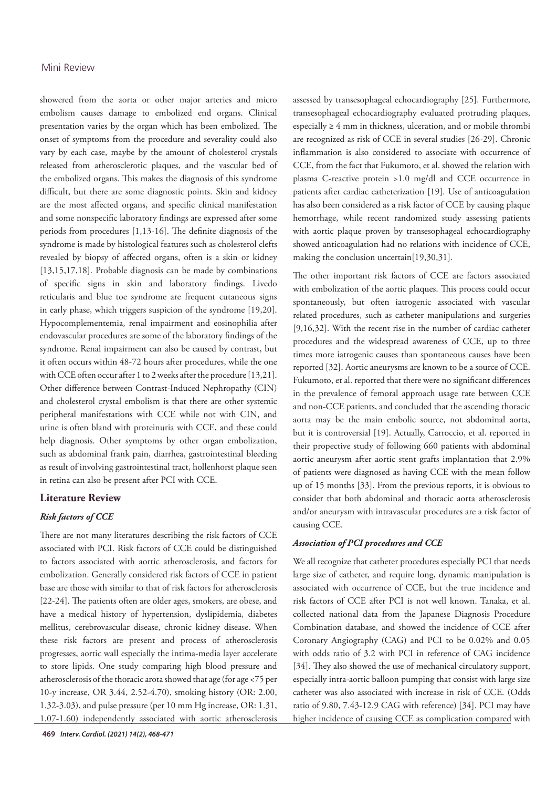## Mini Review

showered from the aorta or other major arteries and micro embolism causes damage to embolized end organs. Clinical presentation varies by the organ which has been embolized. The onset of symptoms from the procedure and severality could also vary by each case, maybe by the amount of cholesterol crystals released from atherosclerotic plaques, and the vascular bed of the embolized organs. This makes the diagnosis of this syndrome difficult, but there are some diagnostic points. Skin and kidney are the most affected organs, and specific clinical manifestation and some nonspecific laboratory findings are expressed after some periods from procedures [1,13-16]. The definite diagnosis of the syndrome is made by histological features such as cholesterol clefts revealed by biopsy of affected organs, often is a skin or kidney [13,15,17,18]. Probable diagnosis can be made by combinations of specific signs in skin and laboratory findings. Livedo reticularis and blue toe syndrome are frequent cutaneous signs in early phase, which triggers suspicion of the syndrome [19,20]. Hypocomplementemia, renal impairment and eosinophilia after endovascular procedures are some of the laboratory findings of the syndrome. Renal impairment can also be caused by contrast, but it often occurs within 48-72 hours after procedures, while the one with CCE often occur after 1 to 2 weeks after the procedure [13,21]. Other difference between Contrast-Induced Nephropathy (CIN) and cholesterol crystal embolism is that there are other systemic peripheral manifestations with CCE while not with CIN, and urine is often bland with proteinuria with CCE, and these could help diagnosis. Other symptoms by other organ embolization, such as abdominal frank pain, diarrhea, gastrointestinal bleeding as result of involving gastrointestinal tract, hollenhorst plaque seen in retina can also be present after PCI with CCE.

## **Literature Review**

## *Risk factors of CCE*

There are not many literatures describing the risk factors of CCE associated with PCI. Risk factors of CCE could be distinguished to factors associated with aortic atherosclerosis, and factors for embolization. Generally considered risk factors of CCE in patient base are those with similar to that of risk factors for atherosclerosis [22-24]. The patients often are older ages, smokers, are obese, and have a medical history of hypertension, dyslipidemia, diabetes mellitus, cerebrovascular disease, chronic kidney disease. When these risk factors are present and process of atherosclerosis progresses, aortic wall especially the intima-media layer accelerate to store lipids. One study comparing high blood pressure and atherosclerosis of the thoracic arota showed that age (for age <75 per 10-y increase, OR 3.44, 2.52-4.70), smoking history (OR: 2.00, 1.32-3.03), and pulse pressure (per 10 mm Hg increase, OR: 1.31, 1.07-1.60) independently associated with aortic atherosclerosis

assessed by transesophageal echocardiography [25]. Furthermore, transesophageal echocardiography evaluated protruding plaques, especially  $\geq 4$  mm in thickness, ulceration, and or mobile thrombi are recognized as risk of CCE in several studies [26-29]. Chronic inflammation is also considered to associate with occurrence of CCE, from the fact that Fukumoto, et al. showed the relation with plasma C-reactive protein >1.0 mg/dl and CCE occurrence in patients after cardiac catheterization [19]. Use of anticoagulation has also been considered as a risk factor of CCE by causing plaque hemorrhage, while recent randomized study assessing patients with aortic plaque proven by transesophageal echocardiography showed anticoagulation had no relations with incidence of CCE, making the conclusion uncertain[19,30,31].

The other important risk factors of CCE are factors associated with embolization of the aortic plaques. This process could occur spontaneously, but often iatrogenic associated with vascular related procedures, such as catheter manipulations and surgeries [9,16,32]. With the recent rise in the number of cardiac catheter procedures and the widespread awareness of CCE, up to three times more iatrogenic causes than spontaneous causes have been reported [32]. Aortic aneurysms are known to be a source of CCE. Fukumoto, et al. reported that there were no significant differences in the prevalence of femoral approach usage rate between CCE and non-CCE patients, and concluded that the ascending thoracic aorta may be the main embolic source, not abdominal aorta, but it is controversial [19]. Actually, Carroccio, et al. reported in their propective study of following 660 patients with abdominal aortic aneurysm after aortic stent grafts implantation that 2.9% of patients were diagnosed as having CCE with the mean follow up of 15 months [33]. From the previous reports, it is obvious to consider that both abdominal and thoracic aorta atherosclerosis and/or aneurysm with intravascular procedures are a risk factor of causing CCE.

### *Association of PCI procedures and CCE*

We all recognize that catheter procedures especially PCI that needs large size of catheter, and require long, dynamic manipulation is associated with occurrence of CCE, but the true incidence and risk factors of CCE after PCI is not well known. Tanaka, et al. collected national data from the Japanese Diagnosis Procedure Combination database, and showed the incidence of CCE after Coronary Angiography (CAG) and PCI to be 0.02% and 0.05 with odds ratio of 3.2 with PCI in reference of CAG incidence [34]. They also showed the use of mechanical circulatory support, especially intra-aortic balloon pumping that consist with large size catheter was also associated with increase in risk of CCE. (Odds ratio of 9.80, 7.43-12.9 CAG with reference) [34]. PCI may have higher incidence of causing CCE as complication compared with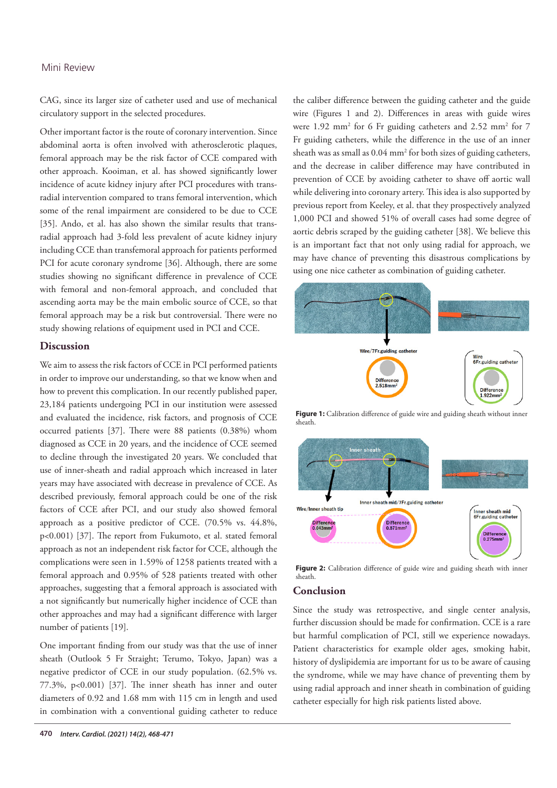## Mini Review

CAG, since its larger size of catheter used and use of mechanical circulatory support in the selected procedures.

Other important factor is the route of coronary intervention. Since abdominal aorta is often involved with atherosclerotic plaques, femoral approach may be the risk factor of CCE compared with other approach. Kooiman, et al. has showed significantly lower incidence of acute kidney injury after PCI procedures with transradial intervention compared to trans femoral intervention, which some of the renal impairment are considered to be due to CCE [35]. Ando, et al. has also shown the similar results that transradial approach had 3-fold less prevalent of acute kidney injury including CCE than transfemoral approach for patients performed PCI for acute coronary syndrome [36]. Although, there are some studies showing no significant difference in prevalence of CCE with femoral and non-femoral approach, and concluded that ascending aorta may be the main embolic source of CCE, so that femoral approach may be a risk but controversial. There were no study showing relations of equipment used in PCI and CCE.

## **Discussion**

We aim to assess the risk factors of CCE in PCI performed patients in order to improve our understanding, so that we know when and how to prevent this complication. In our recently published paper, 23,184 patients undergoing PCI in our institution were assessed and evaluated the incidence, risk factors, and prognosis of CCE occurred patients [37]. There were 88 patients (0.38%) whom diagnosed as CCE in 20 years, and the incidence of CCE seemed to decline through the investigated 20 years. We concluded that use of inner-sheath and radial approach which increased in later years may have associated with decrease in prevalence of CCE. As described previously, femoral approach could be one of the risk factors of CCE after PCI, and our study also showed femoral approach as a positive predictor of CCE. (70.5% vs. 44.8%, p<0.001) [37]. The report from Fukumoto, et al. stated femoral approach as not an independent risk factor for CCE, although the complications were seen in 1.59% of 1258 patients treated with a femoral approach and 0.95% of 528 patients treated with other approaches, suggesting that a femoral approach is associated with a not significantly but numerically higher incidence of CCE than other approaches and may had a significant difference with larger number of patients [19].

One important finding from our study was that the use of inner sheath (Outlook 5 Fr Straight; Terumo, Tokyo, Japan) was a negative predictor of CCE in our study population. (62.5% vs.  $77.3\%$ , p<0.001) [37]. The inner sheath has inner and outer diameters of 0.92 and 1.68 mm with 115 cm in length and used in combination with a conventional guiding catheter to reduce

the caliber difference between the guiding catheter and the guide wire (Figures 1 and 2). Differences in areas with guide wires were 1.92 mm<sup>2</sup> for 6 Fr guiding catheters and 2.52 mm<sup>2</sup> for 7 Fr guiding catheters, while the difference in the use of an inner sheath was as small as  $0.04 \text{ mm}^2$  for both sizes of guiding catheters, and the decrease in caliber difference may have contributed in prevention of CCE by avoiding catheter to shave off aortic wall while delivering into coronary artery. This idea is also supported by previous report from Keeley, et al. that they prospectively analyzed 1,000 PCI and showed 51% of overall cases had some degree of aortic debris scraped by the guiding catheter [38]. We believe this is an important fact that not only using radial for approach, we may have chance of preventing this disastrous complications by using one nice catheter as combination of guiding catheter.



Figure 1: Calibration difference of guide wire and guiding sheath without inner sheath.



Figure 2: Calibration difference of guide wire and guiding sheath with inner sheath.

### **Conclusion**

Since the study was retrospective, and single center analysis, further discussion should be made for confirmation. CCE is a rare but harmful complication of PCI, still we experience nowadays. Patient characteristics for example older ages, smoking habit, history of dyslipidemia are important for us to be aware of causing the syndrome, while we may have chance of preventing them by using radial approach and inner sheath in combination of guiding catheter especially for high risk patients listed above.